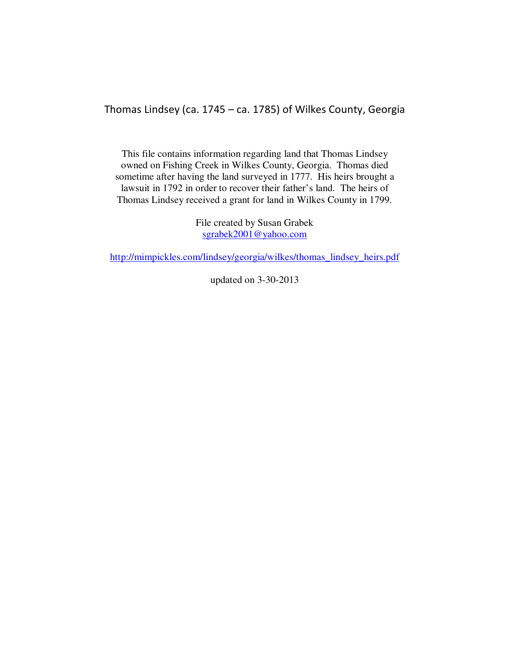Thomas Lindsey (ca. 1745 – ca. 1785) of Wilkes County, Georgia

This file contains information regarding land that Thomas Lindsey owned on Fishing Creek in Wilkes County, Georgia. Thomas died sometime after having the land surveyed in 1777. His heirs brought a lawsuit in 1792 in order to recover their father's land. The heirs of Thomas Lindsey received a grant for land in Wilkes County in 1799.

> File created by Susan Grabek sgrabek2001@yahoo.com

http://mimpickles.com/lindsey/georgia/wilkes/thomas\_lindsey\_heirs.pdf

updated on 3-30-2013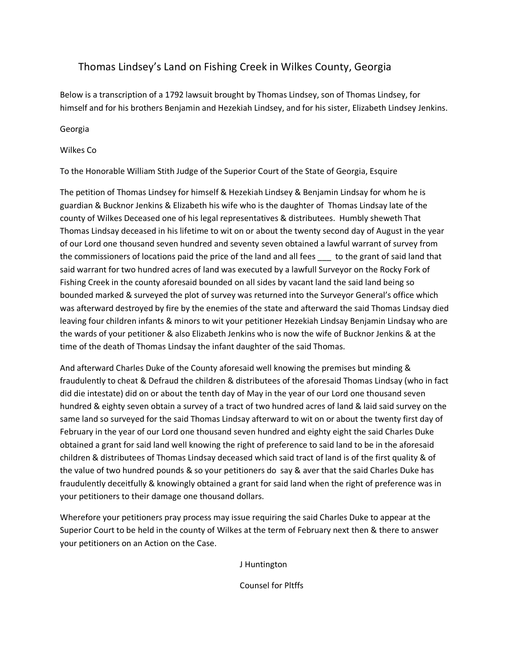## Thomas Lindsey's Land on Fishing Creek in Wilkes County, Georgia

Below is a transcription of a 1792 lawsuit brought by Thomas Lindsey, son of Thomas Lindsey, for himself and for his brothers Benjamin and Hezekiah Lindsey, and for his sister, Elizabeth Lindsey Jenkins.

Georgia

#### Wilkes Co

To the Honorable William Stith Judge of the Superior Court of the State of Georgia, Esquire

The petition of Thomas Lindsey for himself & Hezekiah Lindsey & Benjamin Lindsay for whom he is guardian & Bucknor Jenkins & Elizabeth his wife who is the daughter of Thomas Lindsay late of the county of Wilkes Deceased one of his legal representatives & distributees. Humbly sheweth That Thomas Lindsay deceased in his lifetime to wit on or about the twenty second day of August in the year of our Lord one thousand seven hundred and seventy seven obtained a lawful warrant of survey from the commissioners of locations paid the price of the land and all fees \_\_\_ to the grant of said land that said warrant for two hundred acres of land was executed by a lawfull Surveyor on the Rocky Fork of Fishing Creek in the county aforesaid bounded on all sides by vacant land the said land being so bounded marked & surveyed the plot of survey was returned into the Surveyor General's office which was afterward destroyed by fire by the enemies of the state and afterward the said Thomas Lindsay died leaving four children infants & minors to wit your petitioner Hezekiah Lindsay Benjamin Lindsay who are the wards of your petitioner & also Elizabeth Jenkins who is now the wife of Bucknor Jenkins & at the time of the death of Thomas Lindsay the infant daughter of the said Thomas.

And afterward Charles Duke of the County aforesaid well knowing the premises but minding & fraudulently to cheat & Defraud the children & distributees of the aforesaid Thomas Lindsay (who in fact did die intestate) did on or about the tenth day of May in the year of our Lord one thousand seven hundred & eighty seven obtain a survey of a tract of two hundred acres of land & laid said survey on the same land so surveyed for the said Thomas Lindsay afterward to wit on or about the twenty first day of February in the year of our Lord one thousand seven hundred and eighty eight the said Charles Duke obtained a grant for said land well knowing the right of preference to said land to be in the aforesaid children & distributees of Thomas Lindsay deceased which said tract of land is of the first quality & of the value of two hundred pounds & so your petitioners do say & aver that the said Charles Duke has fraudulently deceitfully & knowingly obtained a grant for said land when the right of preference was in your petitioners to their damage one thousand dollars.

Wherefore your petitioners pray process may issue requiring the said Charles Duke to appear at the Superior Court to be held in the county of Wilkes at the term of February next then & there to answer your petitioners on an Action on the Case.

J Huntington

Counsel for Pltffs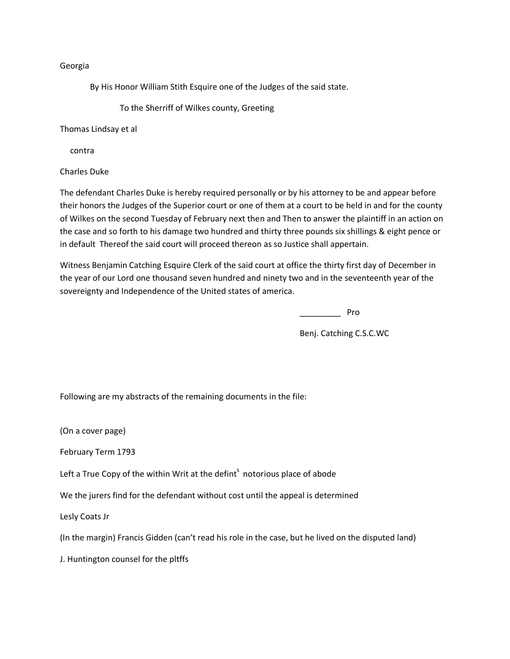#### Georgia

By His Honor William Stith Esquire one of the Judges of the said state.

To the Sherriff of Wilkes county, Greeting

Thomas Lindsay et al

contra

Charles Duke

The defendant Charles Duke is hereby required personally or by his attorney to be and appear before their honors the Judges of the Superior court or one of them at a court to be held in and for the county of Wilkes on the second Tuesday of February next then and Then to answer the plaintiff in an action on the case and so forth to his damage two hundred and thirty three pounds six shillings & eight pence or in default Thereof the said court will proceed thereon as so Justice shall appertain.

Witness Benjamin Catching Esquire Clerk of the said court at office the thirty first day of December in the year of our Lord one thousand seven hundred and ninety two and in the seventeenth year of the sovereignty and Independence of the United states of america.

\_\_\_\_\_\_\_\_\_ Pro

Benj. Catching C.S.C.WC

Following are my abstracts of the remaining documents in the file:

(On a cover page)

February Term 1793

Left a True Copy of the within Writ at the defint<sup>s</sup> notorious place of abode

We the jurers find for the defendant without cost until the appeal is determined

Lesly Coats Jr

(In the margin) Francis Gidden (can't read his role in the case, but he lived on the disputed land)

J. Huntington counsel for the pltffs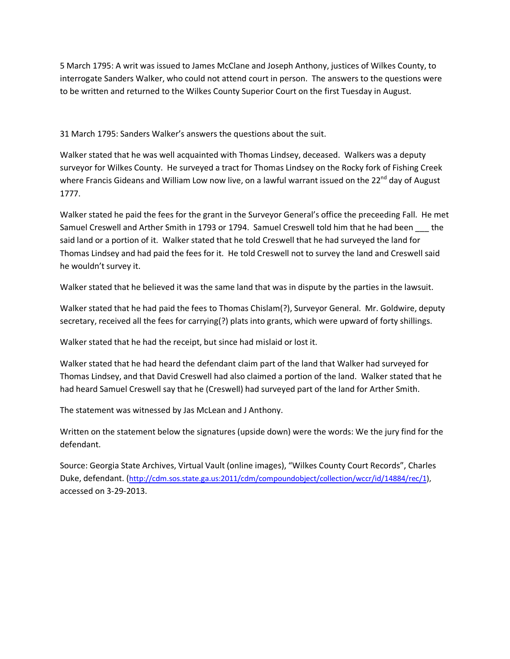5 March 1795: A writ was issued to James McClane and Joseph Anthony, justices of Wilkes County, to interrogate Sanders Walker, who could not attend court in person. The answers to the questions were to be written and returned to the Wilkes County Superior Court on the first Tuesday in August.

31 March 1795: Sanders Walker's answers the questions about the suit.

Walker stated that he was well acquainted with Thomas Lindsey, deceased. Walkers was a deputy surveyor for Wilkes County. He surveyed a tract for Thomas Lindsey on the Rocky fork of Fishing Creek where Francis Gideans and William Low now live, on a lawful warrant issued on the 22<sup>nd</sup> day of August 1777.

Walker stated he paid the fees for the grant in the Surveyor General's office the preceeding Fall. He met Samuel Creswell and Arther Smith in 1793 or 1794. Samuel Creswell told him that he had been \_\_\_ the said land or a portion of it. Walker stated that he told Creswell that he had surveyed the land for Thomas Lindsey and had paid the fees for it. He told Creswell not to survey the land and Creswell said he wouldn't survey it.

Walker stated that he believed it was the same land that was in dispute by the parties in the lawsuit.

Walker stated that he had paid the fees to Thomas Chislam(?), Surveyor General. Mr. Goldwire, deputy secretary, received all the fees for carrying(?) plats into grants, which were upward of forty shillings.

Walker stated that he had the receipt, but since had mislaid or lost it.

Walker stated that he had heard the defendant claim part of the land that Walker had surveyed for Thomas Lindsey, and that David Creswell had also claimed a portion of the land. Walker stated that he had heard Samuel Creswell say that he (Creswell) had surveyed part of the land for Arther Smith.

The statement was witnessed by Jas McLean and J Anthony.

Written on the statement below the signatures (upside down) were the words: We the jury find for the defendant.

Source: Georgia State Archives, Virtual Vault (online images), "Wilkes County Court Records", Charles Duke, defendant. (http://cdm.sos.state.ga.us:2011/cdm/compoundobject/collection/wccr/id/14884/rec/1), accessed on 3-29-2013.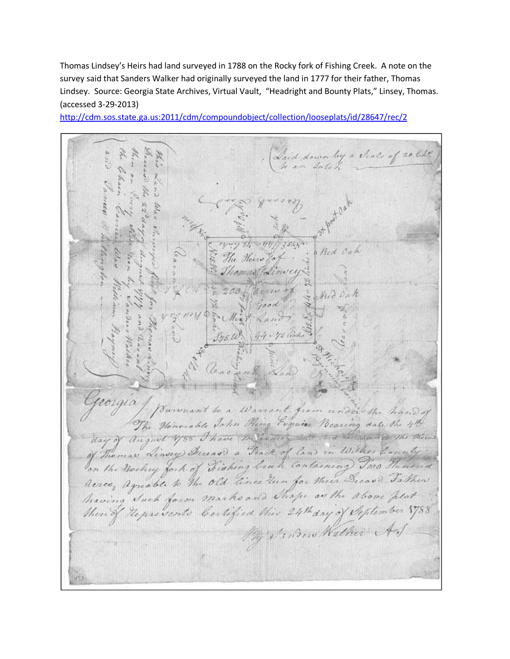Thomas Lindsey's Heirs had land surveyed in 1788 on the Rocky fork of Fishing Creek. A note on the survey said that Sanders Walker had originally surveyed the land in 1777 for their father, Thomas Lindsey. Source: Georgia State Archives, Virtual Vault, "Headright and Bounty Plats," Linsey, Thomas. (accessed 3-29-2013)

by a Scale of 20 lik  $3.45.11$ corgia Warrant from under the The Honorable John Heing Esquire Bearing date the malaritica and See 1 vs. The Oleins august 1788 Thave das " Linvery Breezers a Frack of land in Wilker County the nochry fort of Fishing bank Containing Two Thenance The old lines Tun for their Decas' Father Renco, agreable to marks and Shape as the above hlot na Duc Certified this 1788 thered sento Bew Walker A

http://cdm.sos.state.ga.us:2011/cdm/compoundobject/collection/looseplats/id/28647/rec/2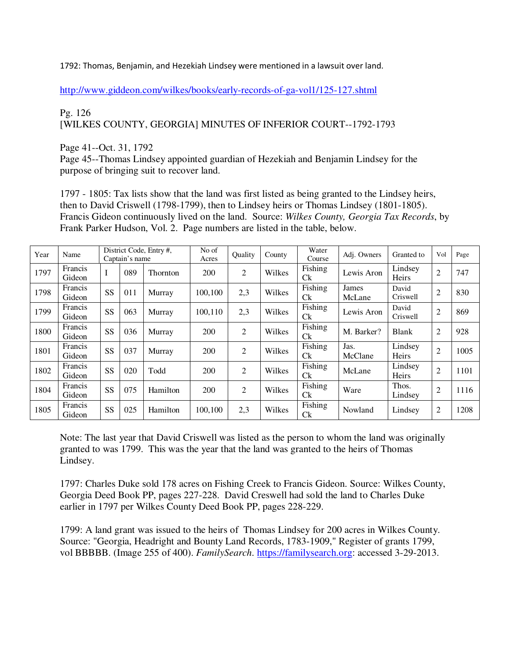1792: Thomas, Benjamin, and Hezekiah Lindsey were mentioned in a lawsuit over land.

http://www.giddeon.com/wilkes/books/early-records-of-ga-vol1/125-127.shtml

### Pg. 126 [WILKES COUNTY, GEORGIA] MINUTES OF INFERIOR COURT--1792-1793

Page 41--Oct. 31, 1792

Page 45--Thomas Lindsey appointed guardian of Hezekiah and Benjamin Lindsey for the purpose of bringing suit to recover land.

1797 - 1805: Tax lists show that the land was first listed as being granted to the Lindsey heirs, then to David Criswell (1798-1799), then to Lindsey heirs or Thomas Lindsey (1801-1805). Francis Gideon continuously lived on the land. Source: *Wilkes County, Georgia Tax Records*, by Frank Parker Hudson, Vol. 2. Page numbers are listed in the table, below.

| Year | Name                     |           | Captain's name | District Code, Entry #, | No of<br>Acres | Ouality        | County | Water<br>Course       | Adj. Owners     | Granted to        | Vol            | Page |
|------|--------------------------|-----------|----------------|-------------------------|----------------|----------------|--------|-----------------------|-----------------|-------------------|----------------|------|
| 1797 | <b>Francis</b><br>Gideon | T         | 089            | Thornton                | 200            | 2              | Wilkes | Fishing<br>Ck         | Lewis Aron      | Lindsey<br>Heirs  | $\overline{2}$ | 747  |
| 1798 | Francis<br>Gideon        | <b>SS</b> | 011            | Murray                  | 100,100        | 2,3            | Wilkes | Fishing<br><b>C</b> k | James<br>McLane | David<br>Criswell | $\overline{2}$ | 830  |
| 1799 | Francis<br>Gideon        | <b>SS</b> | 063            | Murray                  | 100,110        | 2,3            | Wilkes | Fishing<br><b>C</b> k | Lewis Aron      | David<br>Criswell | $\overline{2}$ | 869  |
| 1800 | Francis<br>Gideon        | SS        | 036            | Murray                  | 200            | 2              | Wilkes | Fishing<br><b>C</b> k | M. Barker?      | <b>Blank</b>      | $\overline{2}$ | 928  |
| 1801 | Francis<br>Gideon        | SS        | 037            | Murray                  | 200            | $\overline{2}$ | Wilkes | Fishing<br><b>C</b> k | Jas.<br>McClane | Lindsey<br>Heirs  | $\overline{2}$ | 1005 |
| 1802 | Francis<br>Gideon        | SS        | 020            | Todd                    | 200            | $\overline{2}$ | Wilkes | Fishing<br>Ck         | McLane          | Lindsey<br>Heirs  | $\overline{2}$ | 1101 |
| 1804 | Francis<br>Gideon        | SS        | 075            | Hamilton                | 200            | 2              | Wilkes | Fishing<br><b>C</b> k | Ware            | Thos.<br>Lindsey  | $\overline{2}$ | 1116 |
| 1805 | Francis<br>Gideon        | SS        | 025            | Hamilton                | 100.100        | 2,3            | Wilkes | Fishing<br><b>C</b> k | Nowland         | Lindsey           | 2              | 1208 |

Note: The last year that David Criswell was listed as the person to whom the land was originally granted to was 1799. This was the year that the land was granted to the heirs of Thomas Lindsey.

1797: Charles Duke sold 178 acres on Fishing Creek to Francis Gideon. Source: Wilkes County, Georgia Deed Book PP, pages 227-228. David Creswell had sold the land to Charles Duke earlier in 1797 per Wilkes County Deed Book PP, pages 228-229.

1799: A land grant was issued to the heirs of Thomas Lindsey for 200 acres in Wilkes County. Source: "Georgia, Headright and Bounty Land Records, 1783-1909," Register of grants 1799, vol BBBBB. (Image 255 of 400). *FamilySearch*. https://familysearch.org: accessed 3-29-2013.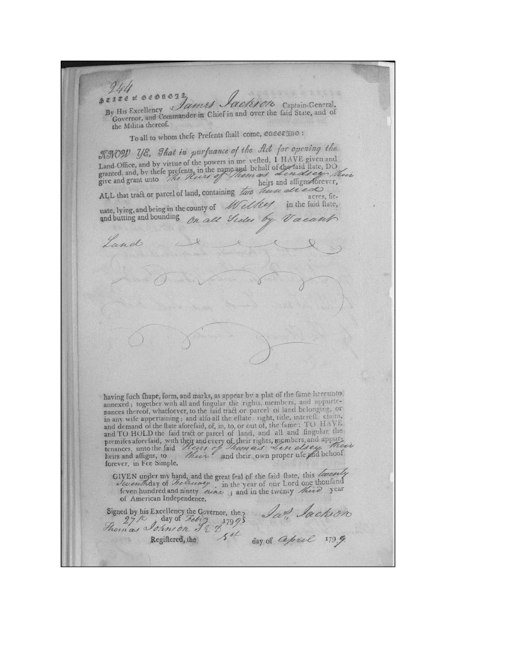244 of Geonega By His Excellency *James Jackson* Captain-General, Governor, and Commander in Chief in and over the faid State, and of the Militia thereof. To all to whom thefe Prefents fhall come, onesergno: KNOW YE, That in purfuance of the flot for opening the Land Office, and by virtue of the powers in me vefted, 1 HAVE given and<br>granted, and, by these prefents, in the name and behalf of the faith flate, DO<br>give and grant unto ALL that tract or parcel of land, containing two hun dread acres, fituate, lying, and being in the county of Willey in the faid flate, and butting and bounding on all Sider Vacant Land having fuch thape, form, and marks, as appear by a plat of the fame hereunto annexed; together with all and fingular the rights, members, and appurtenances thereof, whatfoever, to the faid tract or parcel of land belonging, or in any wife appertaining; and alfo all the effate, right, title, intereff. claim, and demand of the flate aforefaid, of, in, to, or out of, the fame: TO HAVE and TO HOLD the faid tract or parcel of land, and all and fingular the<br>premifes aforefaid, with their and every of their rights, members, and appur-<br>tenances, unto the faid Heges of Thom as Less else their primary heirs an forever, in Fee Simple. GIVEN under my hand, and the great feal of the faid flate, this locately<br>lower hundred and ninety neare in the year of our Lord one thousand<br>feven hundred and ninety neare ; and in the twenty heid year of American Independence. Signed by his Excellency the Governor, the Lat. Jackson